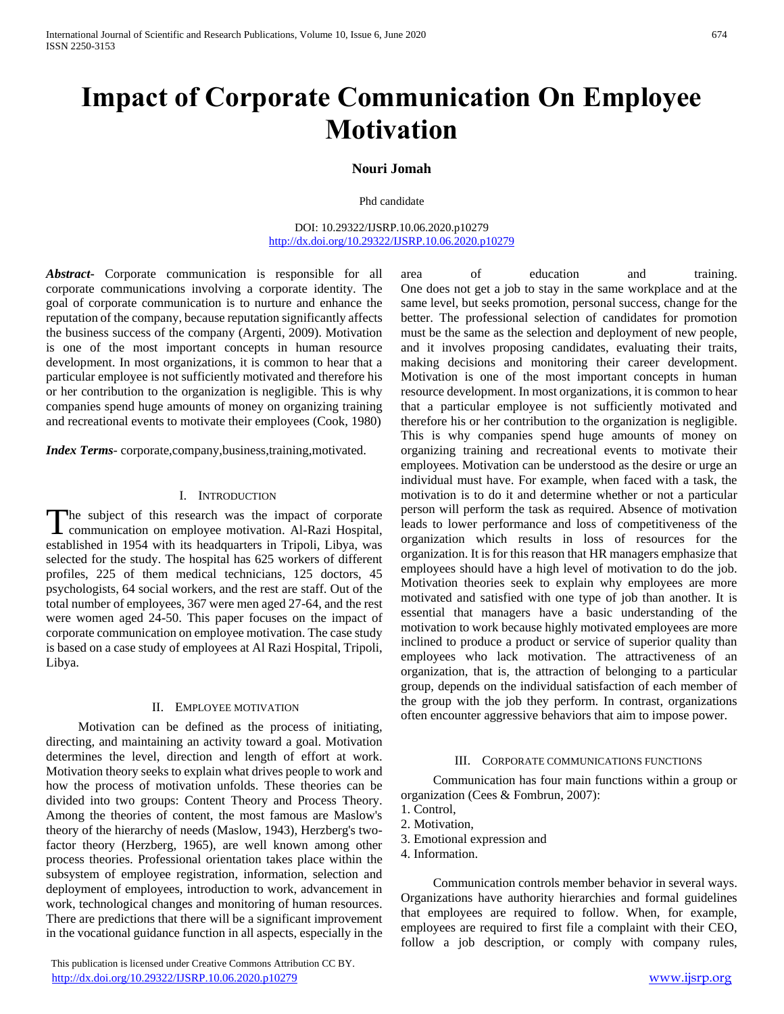# **Impact of Corporate Communication On Employee Motivation**

# **Nouri Jomah**

#### Phd candidate

DOI: 10.29322/IJSRP.10.06.2020.p10279 <http://dx.doi.org/10.29322/IJSRP.10.06.2020.p10279>

*Abstract***-** Corporate communication is responsible for all corporate communications involving a corporate identity. The goal of corporate communication is to nurture and enhance the reputation of the company, because reputation significantly affects the business success of the company (Argenti, 2009). Motivation is one of the most important concepts in human resource development. In most organizations, it is common to hear that a particular employee is not sufficiently motivated and therefore his or her contribution to the organization is negligible. This is why companies spend huge amounts of money on organizing training and recreational events to motivate their employees (Cook, 1980)

*Index Terms*- corporate,company,business,training,motivated.

# I. INTRODUCTION

The subject of this research was the impact of corporate The subject of this research was the impact of corporate communication on employee motivation. Al-Razi Hospital, established in 1954 with its headquarters in Tripoli, Libya, was selected for the study. The hospital has 625 workers of different profiles, 225 of them medical technicians, 125 doctors, 45 psychologists, 64 social workers, and the rest are staff. Out of the total number of employees, 367 were men aged 27-64, and the rest were women aged 24-50. This paper focuses on the impact of corporate communication on employee motivation. The case study is based on a case study of employees at Al Razi Hospital, Tripoli, Libya.

## II. EMPLOYEE MOTIVATION

 Motivation can be defined as the process of initiating, directing, and maintaining an activity toward a goal. Motivation determines the level, direction and length of effort at work. Motivation theory seeks to explain what drives people to work and how the process of motivation unfolds. These theories can be divided into two groups: Content Theory and Process Theory. Among the theories of content, the most famous are Maslow's theory of the hierarchy of needs (Maslow, 1943), Herzberg's twofactor theory (Herzberg, 1965), are well known among other process theories. Professional orientation takes place within the subsystem of employee registration, information, selection and deployment of employees, introduction to work, advancement in work, technological changes and monitoring of human resources. There are predictions that there will be a significant improvement in the vocational guidance function in all aspects, especially in the

 This publication is licensed under Creative Commons Attribution CC BY. <http://dx.doi.org/10.29322/IJSRP.10.06.2020.p10279> [www.ijsrp.org](http://ijsrp.org/)

area of education and training. One does not get a job to stay in the same workplace and at the same level, but seeks promotion, personal success, change for the better. The professional selection of candidates for promotion must be the same as the selection and deployment of new people, and it involves proposing candidates, evaluating their traits, making decisions and monitoring their career development. Motivation is one of the most important concepts in human resource development. In most organizations, it is common to hear that a particular employee is not sufficiently motivated and therefore his or her contribution to the organization is negligible. This is why companies spend huge amounts of money on organizing training and recreational events to motivate their employees. Motivation can be understood as the desire or urge an individual must have. For example, when faced with a task, the motivation is to do it and determine whether or not a particular person will perform the task as required. Absence of motivation leads to lower performance and loss of competitiveness of the organization which results in loss of resources for the organization. It is for this reason that HR managers emphasize that employees should have a high level of motivation to do the job. Motivation theories seek to explain why employees are more motivated and satisfied with one type of job than another. It is essential that managers have a basic understanding of the motivation to work because highly motivated employees are more inclined to produce a product or service of superior quality than employees who lack motivation. The attractiveness of an organization, that is, the attraction of belonging to a particular group, depends on the individual satisfaction of each member of the group with the job they perform. In contrast, organizations often encounter aggressive behaviors that aim to impose power.

# III. CORPORATE COMMUNICATIONS FUNCTIONS

 Communication has four main functions within a group or organization (Cees & Fombrun, 2007):

- 1. Control,
- 2. Motivation,
- 3. Emotional expression and
- 4. Information.

 Communication controls member behavior in several ways. Organizations have authority hierarchies and formal guidelines that employees are required to follow. When, for example, employees are required to first file a complaint with their CEO, follow a job description, or comply with company rules,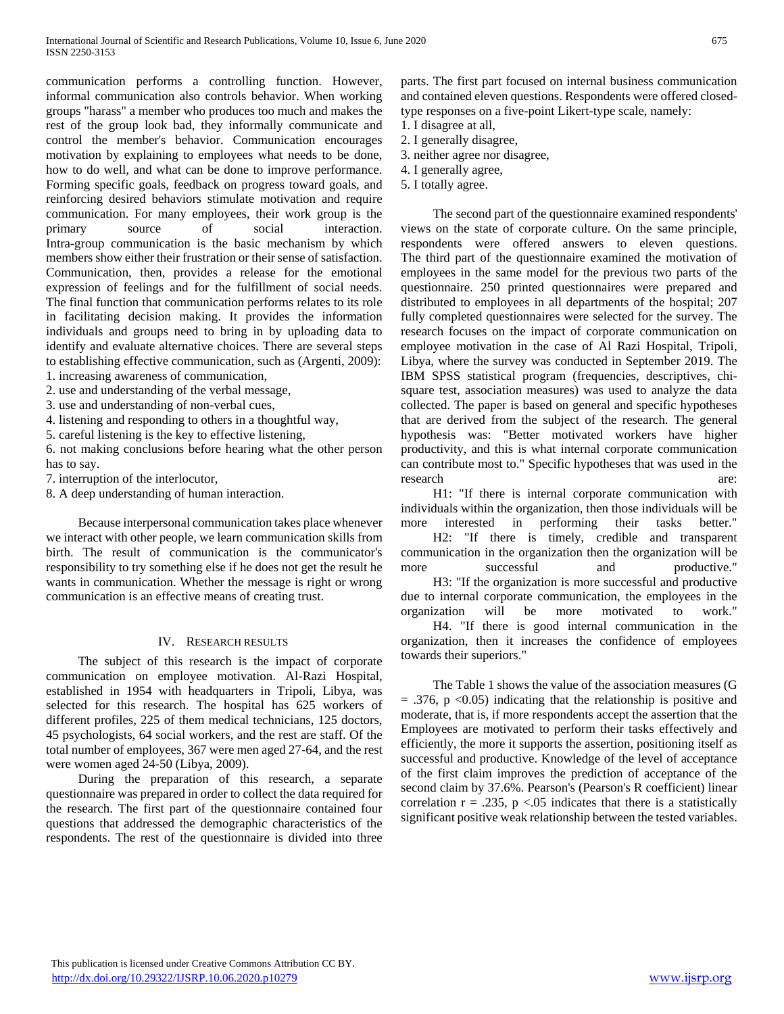communication performs a controlling function. However, informal communication also controls behavior. When working groups "harass" a member who produces too much and makes the rest of the group look bad, they informally communicate and control the member's behavior. Communication encourages motivation by explaining to employees what needs to be done, how to do well, and what can be done to improve performance. Forming specific goals, feedback on progress toward goals, and reinforcing desired behaviors stimulate motivation and require communication. For many employees, their work group is the primary source of social interaction. Intra-group communication is the basic mechanism by which members show either their frustration or their sense of satisfaction. Communication, then, provides a release for the emotional expression of feelings and for the fulfillment of social needs. The final function that communication performs relates to its role in facilitating decision making. It provides the information individuals and groups need to bring in by uploading data to identify and evaluate alternative choices. There are several steps to establishing effective communication, such as (Argenti, 2009): 1. increasing awareness of communication,

- 
- 2. use and understanding of the verbal message,
- 3. use and understanding of non-verbal cues,
- 4. listening and responding to others in a thoughtful way,
- 5. careful listening is the key to effective listening,
- 6. not making conclusions before hearing what the other person has to say.
- 7. interruption of the interlocutor,
- 8. A deep understanding of human interaction.

 Because interpersonal communication takes place whenever we interact with other people, we learn communication skills from birth. The result of communication is the communicator's responsibility to try something else if he does not get the result he wants in communication. Whether the message is right or wrong communication is an effective means of creating trust.

# IV. RESEARCH RESULTS

 The subject of this research is the impact of corporate communication on employee motivation. Al-Razi Hospital, established in 1954 with headquarters in Tripoli, Libya, was selected for this research. The hospital has 625 workers of different profiles, 225 of them medical technicians, 125 doctors, 45 psychologists, 64 social workers, and the rest are staff. Of the total number of employees, 367 were men aged 27-64, and the rest were women aged 24-50 (Libya, 2009).

 During the preparation of this research, a separate questionnaire was prepared in order to collect the data required for the research. The first part of the questionnaire contained four questions that addressed the demographic characteristics of the respondents. The rest of the questionnaire is divided into three

parts. The first part focused on internal business communication and contained eleven questions. Respondents were offered closedtype responses on a five-point Likert-type scale, namely:

- 1. I disagree at all,
- 2. I generally disagree,
- 3. neither agree nor disagree,
- 4. I generally agree,
- 5. I totally agree.

 The second part of the questionnaire examined respondents' views on the state of corporate culture. On the same principle, respondents were offered answers to eleven questions. The third part of the questionnaire examined the motivation of employees in the same model for the previous two parts of the questionnaire. 250 printed questionnaires were prepared and distributed to employees in all departments of the hospital; 207 fully completed questionnaires were selected for the survey. The research focuses on the impact of corporate communication on employee motivation in the case of Al Razi Hospital, Tripoli, Libya, where the survey was conducted in September 2019. The IBM SPSS statistical program (frequencies, descriptives, chisquare test, association measures) was used to analyze the data collected. The paper is based on general and specific hypotheses that are derived from the subject of the research. The general hypothesis was: "Better motivated workers have higher productivity, and this is what internal corporate communication can contribute most to." Specific hypotheses that was used in the research

 H1: "If there is internal corporate communication with individuals within the organization, then those individuals will be more interested in performing their tasks better."

 H2: "If there is timely, credible and transparent communication in the organization then the organization will be more successful and productive."

 H3: "If the organization is more successful and productive due to internal corporate communication, the employees in the organization will be more motivated to work."

 H4. "If there is good internal communication in the organization, then it increases the confidence of employees towards their superiors."

 The Table 1 shows the value of the association measures (G  $= .376$ , p  $\langle 0.05 \rangle$  indicating that the relationship is positive and moderate, that is, if more respondents accept the assertion that the Employees are motivated to perform their tasks effectively and efficiently, the more it supports the assertion, positioning itself as successful and productive. Knowledge of the level of acceptance of the first claim improves the prediction of acceptance of the second claim by 37.6%. Pearson's (Pearson's R coefficient) linear correlation  $r = .235$ ,  $p < .05$  indicates that there is a statistically significant positive weak relationship between the tested variables.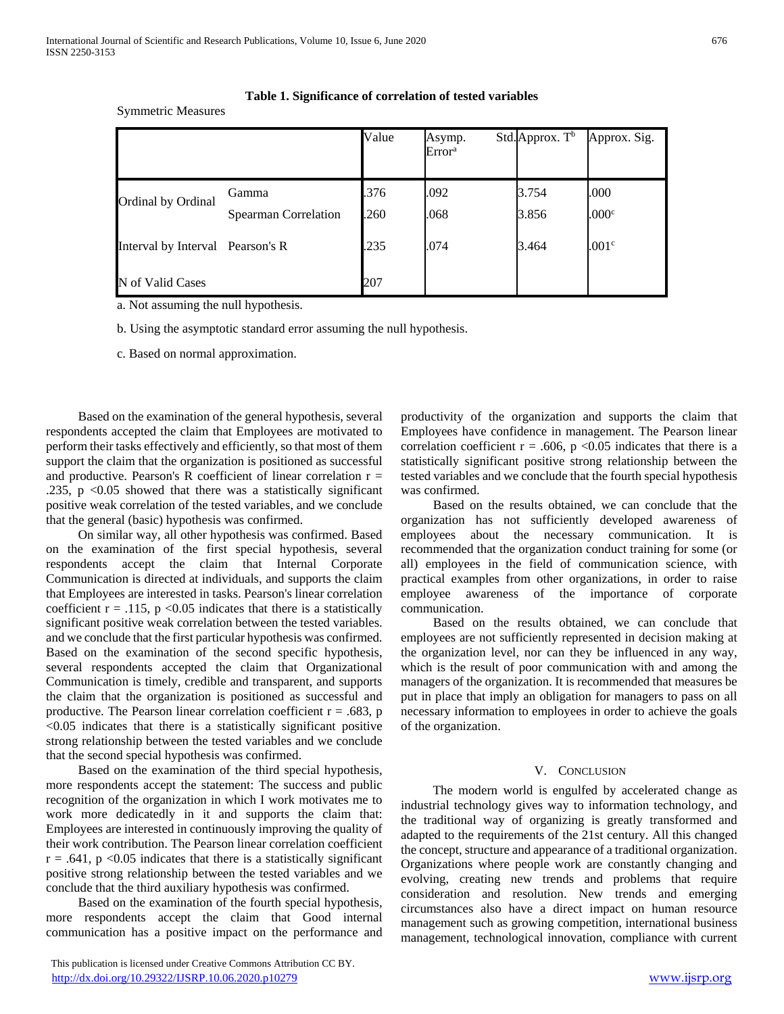|                                  |                                      | Value       | Asymp.<br>Error <sup>a</sup> | Std.Approx. T <sup>b</sup> | Approx. Sig.      |
|----------------------------------|--------------------------------------|-------------|------------------------------|----------------------------|-------------------|
| Ordinal by Ordinal               | Gamma<br><b>Spearman Correlation</b> | .376<br>260 | .092<br>.068                 | 3.754<br>3.856             | .000<br>.000c     |
| Interval by Interval Pearson's R |                                      | .235        | .074                         | 3.464                      | .001 <sup>c</sup> |
| N of Valid Cases                 |                                      | 207         |                              |                            |                   |

**Table 1. Significance of correlation of tested variables**

a. Not assuming the null hypothesis.

Symmetric Measures

b. Using the asymptotic standard error assuming the null hypothesis.

c. Based on normal approximation.

 Based on the examination of the general hypothesis, several respondents accepted the claim that Employees are motivated to perform their tasks effectively and efficiently, so that most of them support the claim that the organization is positioned as successful and productive. Pearson's R coefficient of linear correlation  $r =$ .235,  $p \leq 0.05$  showed that there was a statistically significant positive weak correlation of the tested variables, and we conclude that the general (basic) hypothesis was confirmed.

 On similar way, all other hypothesis was confirmed. Based on the examination of the first special hypothesis, several respondents accept the claim that Internal Corporate Communication is directed at individuals, and supports the claim that Employees are interested in tasks. Pearson's linear correlation coefficient  $r = .115$ ,  $p < 0.05$  indicates that there is a statistically significant positive weak correlation between the tested variables. and we conclude that the first particular hypothesis was confirmed. Based on the examination of the second specific hypothesis, several respondents accepted the claim that Organizational Communication is timely, credible and transparent, and supports the claim that the organization is positioned as successful and productive. The Pearson linear correlation coefficient  $r = .683$ , p <0.05 indicates that there is a statistically significant positive strong relationship between the tested variables and we conclude that the second special hypothesis was confirmed.

 Based on the examination of the third special hypothesis, more respondents accept the statement: The success and public recognition of the organization in which I work motivates me to work more dedicatedly in it and supports the claim that: Employees are interested in continuously improving the quality of their work contribution. The Pearson linear correlation coefficient  $r = .641$ ,  $p < 0.05$  indicates that there is a statistically significant positive strong relationship between the tested variables and we conclude that the third auxiliary hypothesis was confirmed.

 Based on the examination of the fourth special hypothesis, more respondents accept the claim that Good internal communication has a positive impact on the performance and

 This publication is licensed under Creative Commons Attribution CC BY. <http://dx.doi.org/10.29322/IJSRP.10.06.2020.p10279> [www.ijsrp.org](http://ijsrp.org/)

productivity of the organization and supports the claim that Employees have confidence in management. The Pearson linear correlation coefficient  $r = .606$ ,  $p < 0.05$  indicates that there is a statistically significant positive strong relationship between the tested variables and we conclude that the fourth special hypothesis was confirmed.

 Based on the results obtained, we can conclude that the organization has not sufficiently developed awareness of employees about the necessary communication. It is recommended that the organization conduct training for some (or all) employees in the field of communication science, with practical examples from other organizations, in order to raise employee awareness of the importance of corporate communication.

 Based on the results obtained, we can conclude that employees are not sufficiently represented in decision making at the organization level, nor can they be influenced in any way, which is the result of poor communication with and among the managers of the organization. It is recommended that measures be put in place that imply an obligation for managers to pass on all necessary information to employees in order to achieve the goals of the organization.

## V. CONCLUSION

 The modern world is engulfed by accelerated change as industrial technology gives way to information technology, and the traditional way of organizing is greatly transformed and adapted to the requirements of the 21st century. All this changed the concept, structure and appearance of a traditional organization. Organizations where people work are constantly changing and evolving, creating new trends and problems that require consideration and resolution. New trends and emerging circumstances also have a direct impact on human resource management such as growing competition, international business management, technological innovation, compliance with current